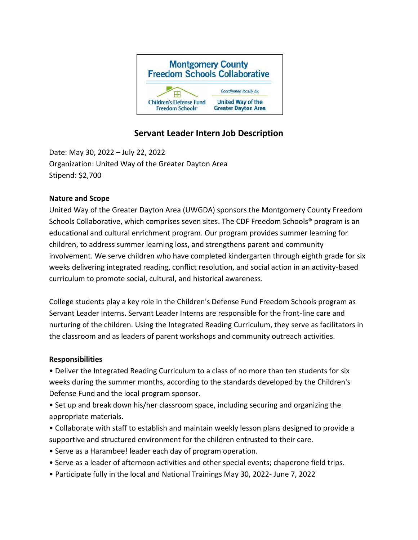

# **Servant Leader Intern Job Description**

Date: May 30, 2022 – July 22, 2022 Organization: United Way of the Greater Dayton Area Stipend: \$2,700

## **Nature and Scope**

United Way of the Greater Dayton Area (UWGDA) sponsors the Montgomery County Freedom Schools Collaborative, which comprises seven sites. The CDF Freedom Schools® program is an educational and cultural enrichment program. Our program provides summer learning for children, to address summer learning loss, and strengthens parent and community involvement. We serve children who have completed kindergarten through eighth grade for six weeks delivering integrated reading, conflict resolution, and social action in an activity-based curriculum to promote social, cultural, and historical awareness.

College students play a key role in the Children's Defense Fund Freedom Schools program as Servant Leader Interns. Servant Leader Interns are responsible for the front-line care and nurturing of the children. Using the Integrated Reading Curriculum, they serve as facilitators in the classroom and as leaders of parent workshops and community outreach activities.

#### **Responsibilities**

• Deliver the Integrated Reading Curriculum to a class of no more than ten students for six weeks during the summer months, according to the standards developed by the Children's Defense Fund and the local program sponsor.

• Set up and break down his/her classroom space, including securing and organizing the appropriate materials.

- Collaborate with staff to establish and maintain weekly lesson plans designed to provide a supportive and structured environment for the children entrusted to their care.
- Serve as a Harambee! leader each day of program operation.
- Serve as a leader of afternoon activities and other special events; chaperone field trips.
- Participate fully in the local and National Trainings May 30, 2022- June 7, 2022